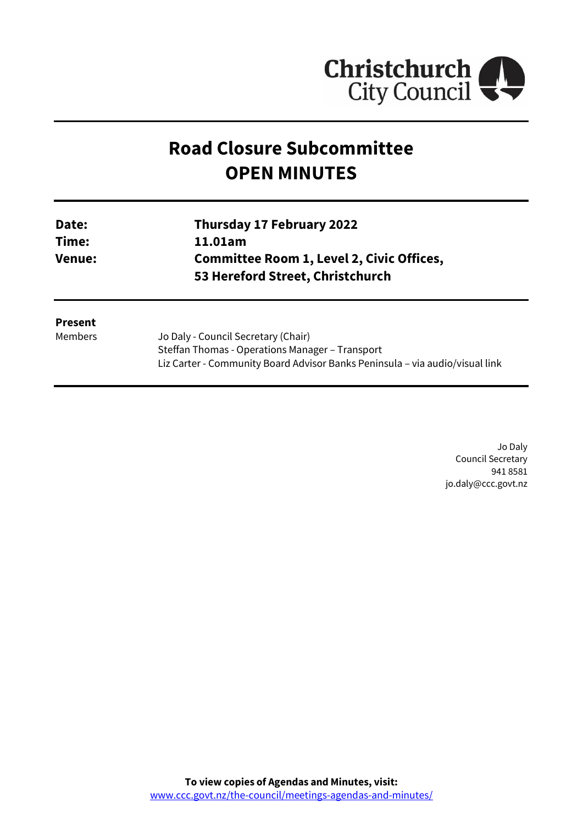

# **Road Closure Subcommittee OPEN MINUTES**

Liz Carter - Community Board Advisor Banks Peninsula – via audio/visual link

| Date:<br>Time:<br><b>Venue:</b> | <b>Thursday 17 February 2022</b><br>11.01am<br><b>Committee Room 1, Level 2, Civic Offices,</b><br>53 Hereford Street, Christchurch |                |                                     |
|---------------------------------|-------------------------------------------------------------------------------------------------------------------------------------|----------------|-------------------------------------|
|                                 |                                                                                                                                     | <b>Present</b> |                                     |
|                                 |                                                                                                                                     | Members        | Jo Daly - Council Secretary (Chair) |
|                                 | Steffan Thomas - Operations Manager - Transport                                                                                     |                |                                     |

Jo Daly Council Secretary 941 8581 jo.daly@ccc.govt.nz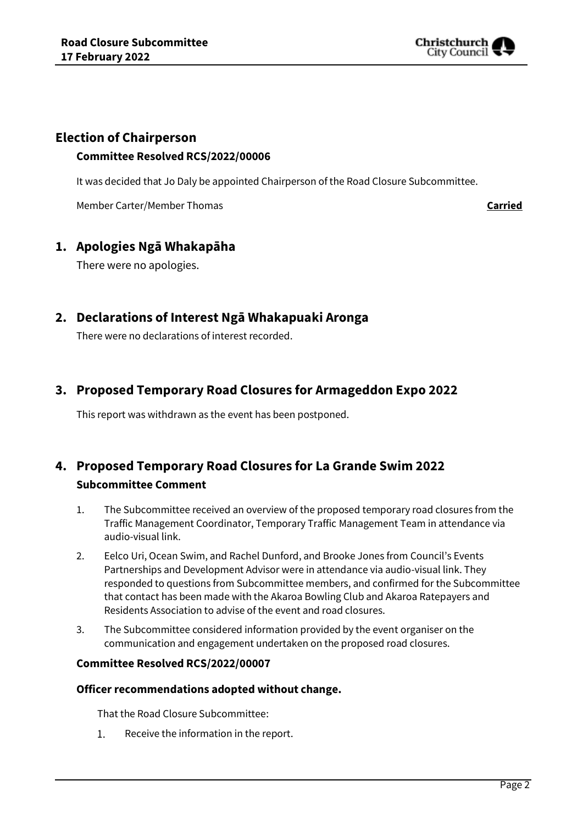

# **Election of Chairperson**

### **Committee Resolved RCS/2022/00006**

It was decided that Jo Daly be appointed Chairperson of the Road Closure Subcommittee.

Member Carter/Member Thomas **Carried**

# **1. Apologies Ngā Whakapāha**

There were no apologies.

# **2. Declarations of Interest Ngā Whakapuaki Aronga**

There were no declarations of interest recorded.

# **3. Proposed Temporary Road Closures for Armageddon Expo 2022**

This report was withdrawn as the event has been postponed.

# **4. Proposed Temporary Road Closures for La Grande Swim 2022 Subcommittee Comment**

- 1. The Subcommittee received an overview of the proposed temporary road closures from the Traffic Management Coordinator, Temporary Traffic Management Team in attendance via audio-visual link.
- 2. Eelco Uri, Ocean Swim, and Rachel Dunford, and Brooke Jones from Council's Events Partnerships and Development Advisor were in attendance via audio-visual link. They responded to questions from Subcommittee members, and confirmed for the Subcommittee that contact has been made with the Akaroa Bowling Club and Akaroa Ratepayers and Residents Association to advise of the event and road closures.
- 3. The Subcommittee considered information provided by the event organiser on the communication and engagement undertaken on the proposed road closures.

### **Committee Resolved RCS/2022/00007**

### **Officer recommendations adopted without change.**

That the Road Closure Subcommittee:

1. Receive the information in the report.